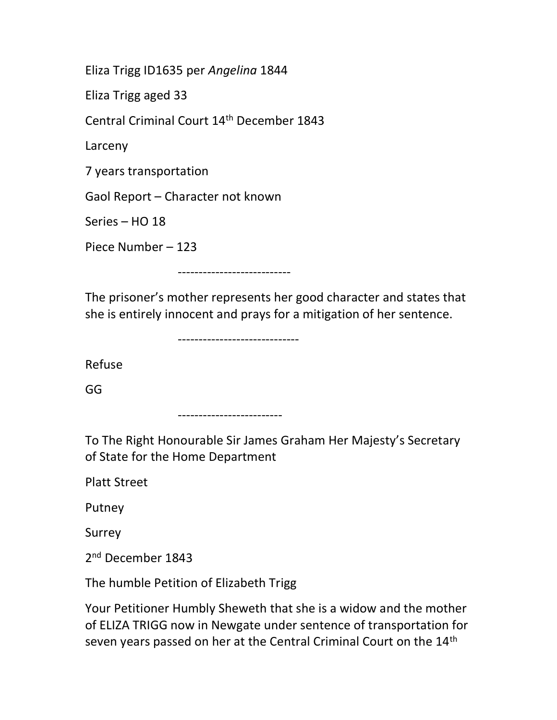Eliza Trigg ID1635 per Angelina 1844

Eliza Trigg aged 33

Central Criminal Court 14th December 1843

Larceny

7 years transportation

Gaol Report – Character not known

Series – HO 18

Piece Number – 123

---------------------------

The prisoner's mother represents her good character and states that she is entirely innocent and prays for a mitigation of her sentence.

-----------------------------

Refuse

GG

-------------------------

To The Right Honourable Sir James Graham Her Majesty's Secretary of State for the Home Department

Platt Street

Putney

Surrey

2<sup>nd</sup> December 1843

The humble Petition of Elizabeth Trigg

Your Petitioner Humbly Sheweth that she is a widow and the mother of ELIZA TRIGG now in Newgate under sentence of transportation for seven years passed on her at the Central Criminal Court on the 14<sup>th</sup>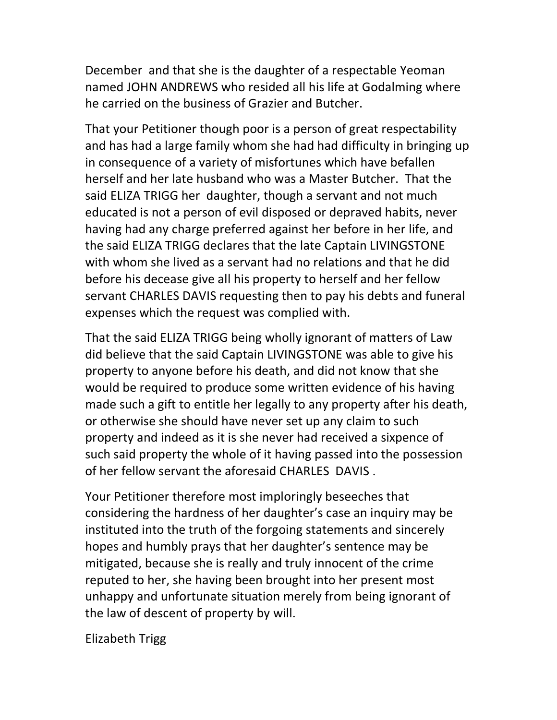December and that she is the daughter of a respectable Yeoman named JOHN ANDREWS who resided all his life at Godalming where he carried on the business of Grazier and Butcher.

That your Petitioner though poor is a person of great respectability and has had a large family whom she had had difficulty in bringing up in consequence of a variety of misfortunes which have befallen herself and her late husband who was a Master Butcher. That the said ELIZA TRIGG her daughter, though a servant and not much educated is not a person of evil disposed or depraved habits, never having had any charge preferred against her before in her life, and the said ELIZA TRIGG declares that the late Captain LIVINGSTONE with whom she lived as a servant had no relations and that he did before his decease give all his property to herself and her fellow servant CHARLES DAVIS requesting then to pay his debts and funeral expenses which the request was complied with.

That the said ELIZA TRIGG being wholly ignorant of matters of Law did believe that the said Captain LIVINGSTONE was able to give his property to anyone before his death, and did not know that she would be required to produce some written evidence of his having made such a gift to entitle her legally to any property after his death, or otherwise she should have never set up any claim to such property and indeed as it is she never had received a sixpence of such said property the whole of it having passed into the possession of her fellow servant the aforesaid CHARLES DAVIS .

Your Petitioner therefore most imploringly beseeches that considering the hardness of her daughter's case an inquiry may be instituted into the truth of the forgoing statements and sincerely hopes and humbly prays that her daughter's sentence may be mitigated, because she is really and truly innocent of the crime reputed to her, she having been brought into her present most unhappy and unfortunate situation merely from being ignorant of the law of descent of property by will.

Elizabeth Trigg